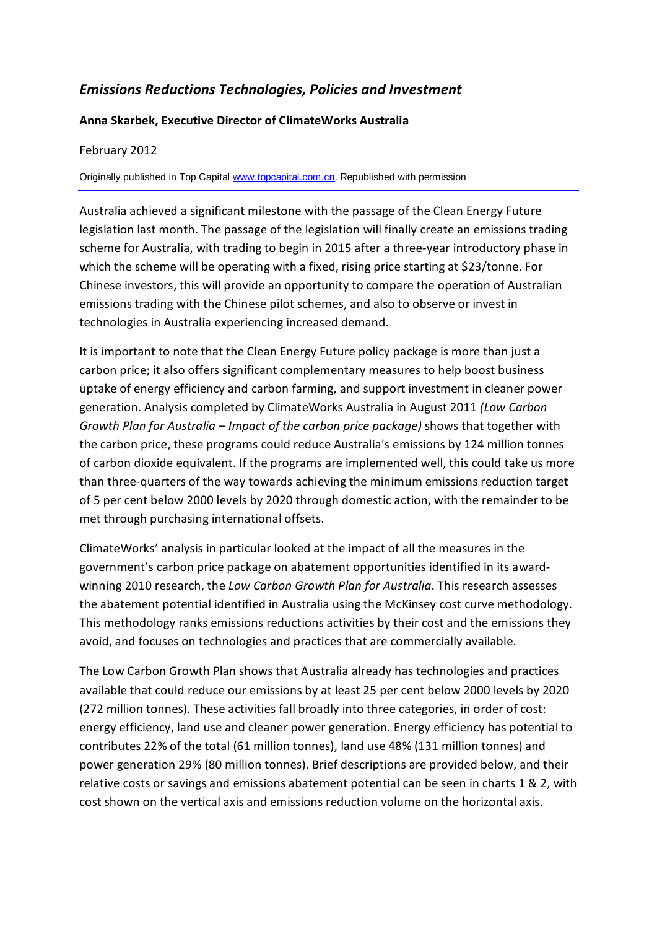# *Emissions Reductions Technologies, Policies and Investment*

#### **Anna Skarbek, Executive Director of ClimateWorks Australia**

#### February 2012

Originally published in Top Capital [www.topcapital.com.cn.](http://www.topcapital.com.cn/) Republished with permission

Australia achieved a significant milestone with the passage of the Clean Energy Future legislation last month. The passage of the legislation will finally create an emissions trading scheme for Australia, with trading to begin in 2015 after a three-year introductory phase in which the scheme will be operating with a fixed, rising price starting at \$23/tonne. For Chinese investors, this will provide an opportunity to compare the operation of Australian emissions trading with the Chinese pilot schemes, and also to observe or invest in technologies in Australia experiencing increased demand.

It is important to note that the Clean Energy Future policy package is more than just a carbon price; it also offers significant complementary measures to help boost business uptake of energy efficiency and carbon farming, and support investment in cleaner power generation. Analysis completed by ClimateWorks Australia in August 2011 *(Low Carbon Growth Plan for Australia – Impact of the carbon price package)* shows that together with the carbon price, these programs could reduce Australia's emissions by 124 million tonnes of carbon dioxide equivalent. If the programs are implemented well, this could take us more than three-quarters of the way towards achieving the minimum emissions reduction target of 5 per cent below 2000 levels by 2020 through domestic action, with the remainder to be met through purchasing international offsets.

ClimateWorks' analysis in particular looked at the impact of all the measures in the government's carbon price package on abatement opportunities identified in its awardwinning 2010 research, the *Low Carbon Growth Plan for Australia*. This research assesses the abatement potential identified in Australia using the McKinsey cost curve methodology. This methodology ranks emissions reductions activities by their cost and the emissions they avoid, and focuses on technologies and practices that are commercially available.

The Low Carbon Growth Plan shows that Australia already has technologies and practices available that could reduce our emissions by at least 25 per cent below 2000 levels by 2020 (272 million tonnes). These activities fall broadly into three categories, in order of cost: energy efficiency, land use and cleaner power generation. Energy efficiency has potential to contributes 22% of the total (61 million tonnes), land use 48% (131 million tonnes) and power generation 29% (80 million tonnes). Brief descriptions are provided below, and their relative costs or savings and emissions abatement potential can be seen in charts 1 & 2, with cost shown on the vertical axis and emissions reduction volume on the horizontal axis.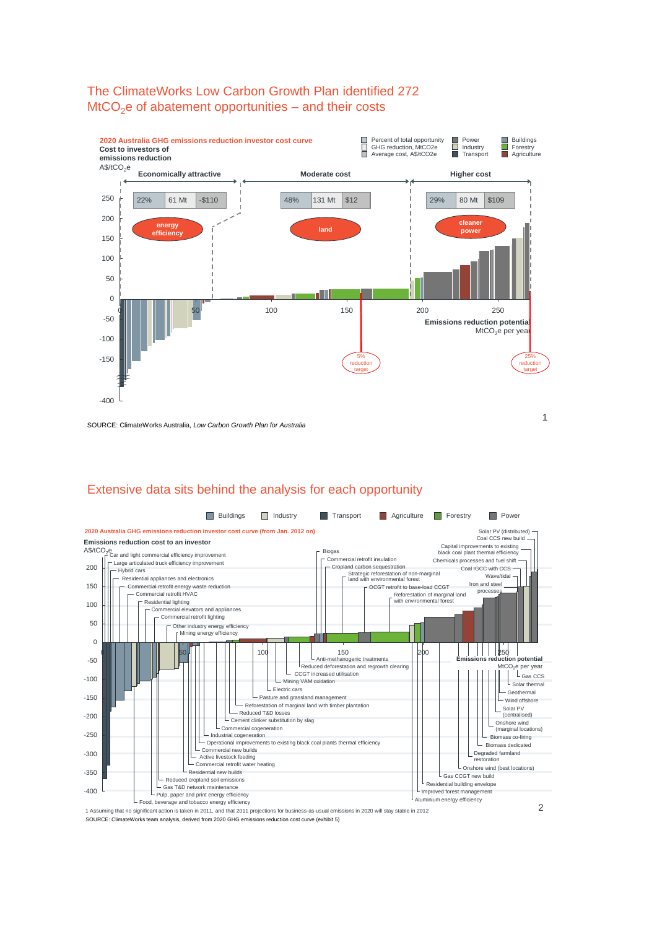

0 50 100 150 200 250

- 11

5% reduction target

### The ClimateWorks Low Carbon Growth Plan identified 272  $MtCO<sub>2</sub>e$  of abatement opportunities – and their costs

SOURCE: ClimateWorks Australia, *Low Carbon Growth Plan for Australia*

 $\Omega$ -50 -100 -150

 $-400$ 

### Extensive data sits behind the analysis for each opportunity

| Industry<br><b>Buildings</b>                                                                                   | <b>Forestry</b><br>Agriculture<br>Power<br>Transport                                                                                                                         |
|----------------------------------------------------------------------------------------------------------------|------------------------------------------------------------------------------------------------------------------------------------------------------------------------------|
| 2020 Australia GHG emissions reduction investor cost curve (from Jan. 2012 on)                                 | Solar PV (distributed)                                                                                                                                                       |
| Emissions reduction cost to an investor<br>$AS/ tCO2$ e                                                        | Coal CCS new build -<br>Capital improvements to existing<br><b>Biogas</b><br>black coal plant thermal efficiency                                                             |
| <sup>2</sup> Car and light commercial efficiency improvement<br>Large articulated truck efficiency improvement | Commercial retrofit insulation<br>Chemicals processes and fuel shift -                                                                                                       |
| 200<br>- Hybrid cars                                                                                           | - Cropland carbon sequestration<br>Coal IGCC with CCS<br>Strategic reforestation of non-marginal                                                                             |
| Residential appliances and electronics                                                                         | Wave/tidal<br>land with environmental forest<br>Iron and steel                                                                                                               |
| 150<br>Commercial retrofit energy waste reduction<br>Commercial retrofit HVAC                                  | - OCGT retrofit to base-load CCGT<br>processes<br>Reforestation of marginal land                                                                                             |
| Residential lighting<br>100<br>Commercial elevators and appliances                                             | with environmental forest                                                                                                                                                    |
| Commercial retrofit lighting                                                                                   |                                                                                                                                                                              |
| 50<br>Other industry energy efficiency<br>Mining energy efficiency                                             |                                                                                                                                                                              |
| 0                                                                                                              |                                                                                                                                                                              |
| 100<br>50<br>$-50$                                                                                             | 150<br>l2bo<br>1250<br>- Anti-methanogenic treatments<br><b>Emissions reduction potential</b><br>MtCO <sub>2</sub> e per year<br>Reduced deforestation and regrowth clearing |
| $-100$                                                                                                         | CCGT increased utilisation<br>$-$ Gas CCS                                                                                                                                    |
|                                                                                                                | Mining VAM oxidation<br>Solar thermal                                                                                                                                        |
| Electric cars<br>$-150$<br>- Pasture and grassland management                                                  | Geothermal                                                                                                                                                                   |
|                                                                                                                | Wind offshore<br>Reforestation of marginal land with timber plantation                                                                                                       |
| Reduced T&D losses<br>$-200$                                                                                   | Solar PV<br>(centralised)                                                                                                                                                    |
| Cement clinker substitution by slag                                                                            | Onshore wind                                                                                                                                                                 |
| Commercial cogeneration<br>$-250$<br>- Industrial cogeneration                                                 | (marginal locations)<br>Biomass co-firing                                                                                                                                    |
| Operational improvements to existing black coal plants thermal efficiency                                      | Biomass dedicated                                                                                                                                                            |
| Commercial new builds<br>$-300$                                                                                | Degraded farmland                                                                                                                                                            |
| Active livestock feeding<br>Commercial retrofit water heating                                                  | restoration                                                                                                                                                                  |
| Residential new builds<br>$-350$                                                                               | Onshore wind (best locations)<br>Gas CCGT new build                                                                                                                          |
| Reduced cropland soil emissions                                                                                | Residential building envelope                                                                                                                                                |
| Gas T&D network maintenance<br>$-400$<br>Pulp, paper and print energy efficiency                               | Improved forest management                                                                                                                                                   |
| Food, beverage and tobacco energy efficiency                                                                   | Aluminium energy efficiency                                                                                                                                                  |

SOURCE: ClimateWorks team analysis, derived from 2020 GHG emissions reduction cost curve (exhibit 5) 1 Assuming that no significant action is taken in 2011, and that 2011 projections for business-as-usual emissions in 2020 will stay stable in 2012

**Emissions reduction potentia** 

 $MtCO<sub>2</sub>e$  per year

25% reduction target

1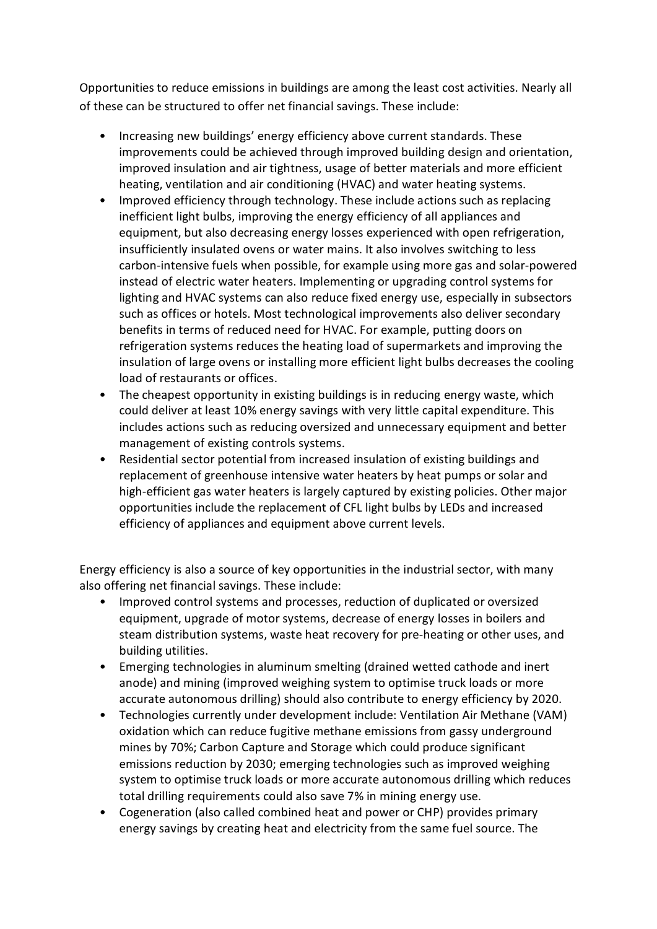Opportunities to reduce emissions in buildings are among the least cost activities. Nearly all of these can be structured to offer net financial savings. These include:

- Increasing new buildings' energy efficiency above current standards. These improvements could be achieved through improved building design and orientation, improved insulation and air tightness, usage of better materials and more efficient heating, ventilation and air conditioning (HVAC) and water heating systems.
- Improved efficiency through technology. These include actions such as replacing inefficient light bulbs, improving the energy efficiency of all appliances and equipment, but also decreasing energy losses experienced with open refrigeration, insufficiently insulated ovens or water mains. It also involves switching to less carbon-intensive fuels when possible, for example using more gas and solar-powered instead of electric water heaters. Implementing or upgrading control systems for lighting and HVAC systems can also reduce fixed energy use, especially in subsectors such as offices or hotels. Most technological improvements also deliver secondary benefits in terms of reduced need for HVAC. For example, putting doors on refrigeration systems reduces the heating load of supermarkets and improving the insulation of large ovens or installing more efficient light bulbs decreases the cooling load of restaurants or offices.
- The cheapest opportunity in existing buildings is in reducing energy waste, which could deliver at least 10% energy savings with very little capital expenditure. This includes actions such as reducing oversized and unnecessary equipment and better management of existing controls systems.
- Residential sector potential from increased insulation of existing buildings and replacement of greenhouse intensive water heaters by heat pumps or solar and high-efficient gas water heaters is largely captured by existing policies. Other major opportunities include the replacement of CFL light bulbs by LEDs and increased efficiency of appliances and equipment above current levels.

Energy efficiency is also a source of key opportunities in the industrial sector, with many also offering net financial savings. These include:

- Improved control systems and processes, reduction of duplicated or oversized equipment, upgrade of motor systems, decrease of energy losses in boilers and steam distribution systems, waste heat recovery for pre-heating or other uses, and building utilities.
- Emerging technologies in aluminum smelting (drained wetted cathode and inert anode) and mining (improved weighing system to optimise truck loads or more accurate autonomous drilling) should also contribute to energy efficiency by 2020.
- Technologies currently under development include: Ventilation Air Methane (VAM) oxidation which can reduce fugitive methane emissions from gassy underground mines by 70%; Carbon Capture and Storage which could produce significant emissions reduction by 2030; emerging technologies such as improved weighing system to optimise truck loads or more accurate autonomous drilling which reduces total drilling requirements could also save 7% in mining energy use.
- Cogeneration (also called combined heat and power or CHP) provides primary energy savings by creating heat and electricity from the same fuel source. The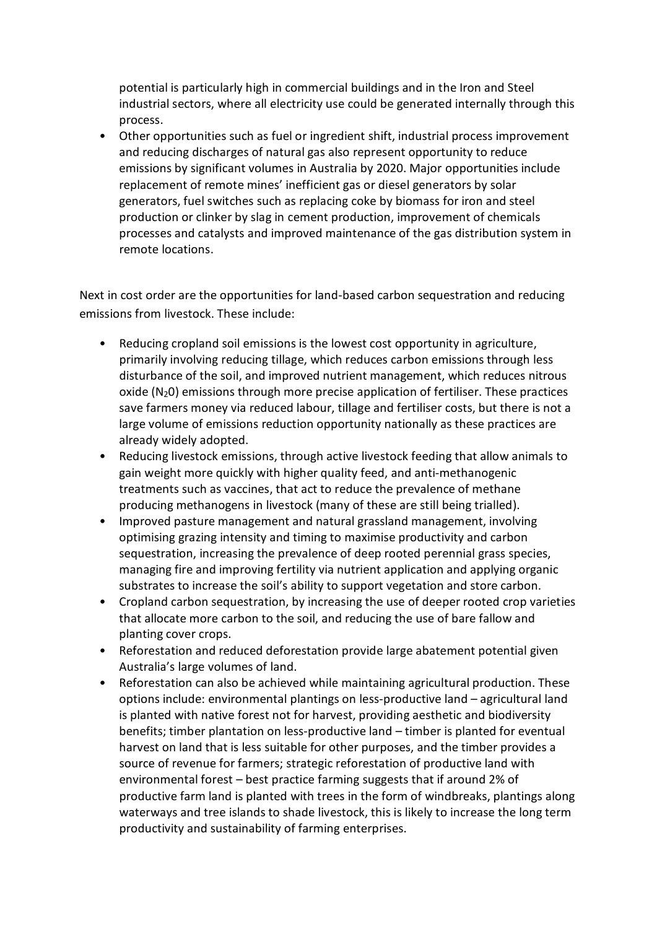potential is particularly high in commercial buildings and in the Iron and Steel industrial sectors, where all electricity use could be generated internally through this process.

• Other opportunities such as fuel or ingredient shift, industrial process improvement and reducing discharges of natural gas also represent opportunity to reduce emissions by significant volumes in Australia by 2020. Major opportunities include replacement of remote mines' inefficient gas or diesel generators by solar generators, fuel switches such as replacing coke by biomass for iron and steel production or clinker by slag in cement production, improvement of chemicals processes and catalysts and improved maintenance of the gas distribution system in remote locations.

Next in cost order are the opportunities for land-based carbon sequestration and reducing emissions from livestock. These include:

- Reducing cropland soil emissions is the lowest cost opportunity in agriculture, primarily involving reducing tillage, which reduces carbon emissions through less disturbance of the soil, and improved nutrient management, which reduces nitrous oxide  $(N_20)$  emissions through more precise application of fertiliser. These practices save farmers money via reduced labour, tillage and fertiliser costs, but there is not a large volume of emissions reduction opportunity nationally as these practices are already widely adopted.
- Reducing livestock emissions, through active livestock feeding that allow animals to gain weight more quickly with higher quality feed, and anti-methanogenic treatments such as vaccines, that act to reduce the prevalence of methane producing methanogens in livestock (many of these are still being trialled).
- Improved pasture management and natural grassland management, involving optimising grazing intensity and timing to maximise productivity and carbon sequestration, increasing the prevalence of deep rooted perennial grass species, managing fire and improving fertility via nutrient application and applying organic substrates to increase the soil's ability to support vegetation and store carbon.
- Cropland carbon sequestration, by increasing the use of deeper rooted crop varieties that allocate more carbon to the soil, and reducing the use of bare fallow and planting cover crops.
- Reforestation and reduced deforestation provide large abatement potential given Australia's large volumes of land.
- Reforestation can also be achieved while maintaining agricultural production. These options include: environmental plantings on less-productive land – agricultural land is planted with native forest not for harvest, providing aesthetic and biodiversity benefits; timber plantation on less-productive land – timber is planted for eventual harvest on land that is less suitable for other purposes, and the timber provides a source of revenue for farmers; strategic reforestation of productive land with environmental forest – best practice farming suggests that if around 2% of productive farm land is planted with trees in the form of windbreaks, plantings along waterways and tree islands to shade livestock, this is likely to increase the long term productivity and sustainability of farming enterprises.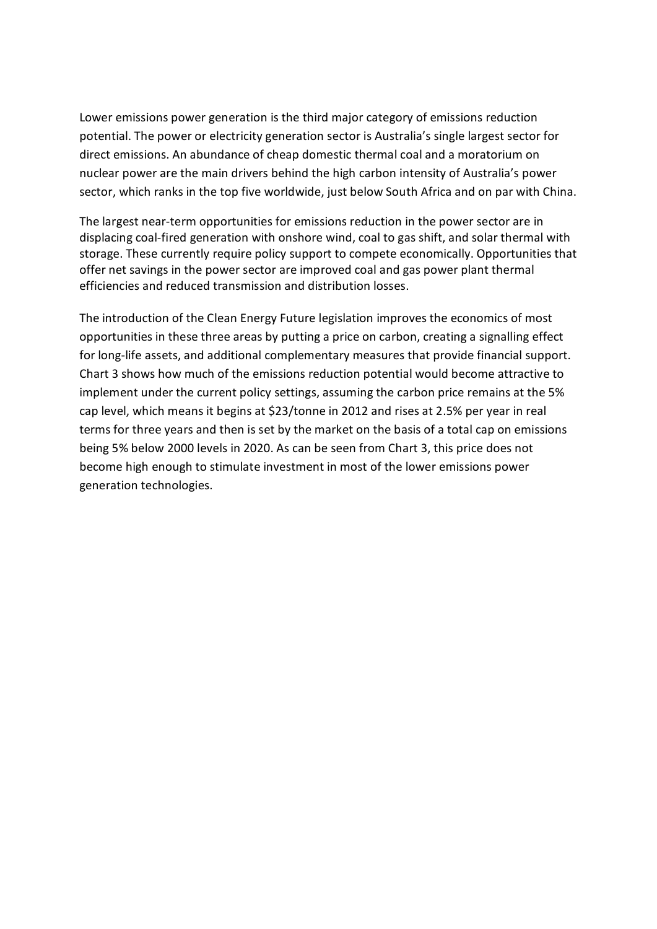Lower emissions power generation is the third major category of emissions reduction potential. The power or electricity generation sector is Australia's single largest sector for direct emissions. An abundance of cheap domestic thermal coal and a moratorium on nuclear power are the main drivers behind the high carbon intensity of Australia's power sector, which ranks in the top five worldwide, just below South Africa and on par with China.

The largest near-term opportunities for emissions reduction in the power sector are in displacing coal-fired generation with onshore wind, coal to gas shift, and solar thermal with storage. These currently require policy support to compete economically. Opportunities that offer net savings in the power sector are improved coal and gas power plant thermal efficiencies and reduced transmission and distribution losses.

The introduction of the Clean Energy Future legislation improves the economics of most opportunities in these three areas by putting a price on carbon, creating a signalling effect for long-life assets, and additional complementary measures that provide financial support. Chart 3 shows how much of the emissions reduction potential would become attractive to implement under the current policy settings, assuming the carbon price remains at the 5% cap level, which means it begins at \$23/tonne in 2012 and rises at 2.5% per year in real terms for three years and then is set by the market on the basis of a total cap on emissions being 5% below 2000 levels in 2020. As can be seen from Chart 3, this price does not become high enough to stimulate investment in most of the lower emissions power generation technologies.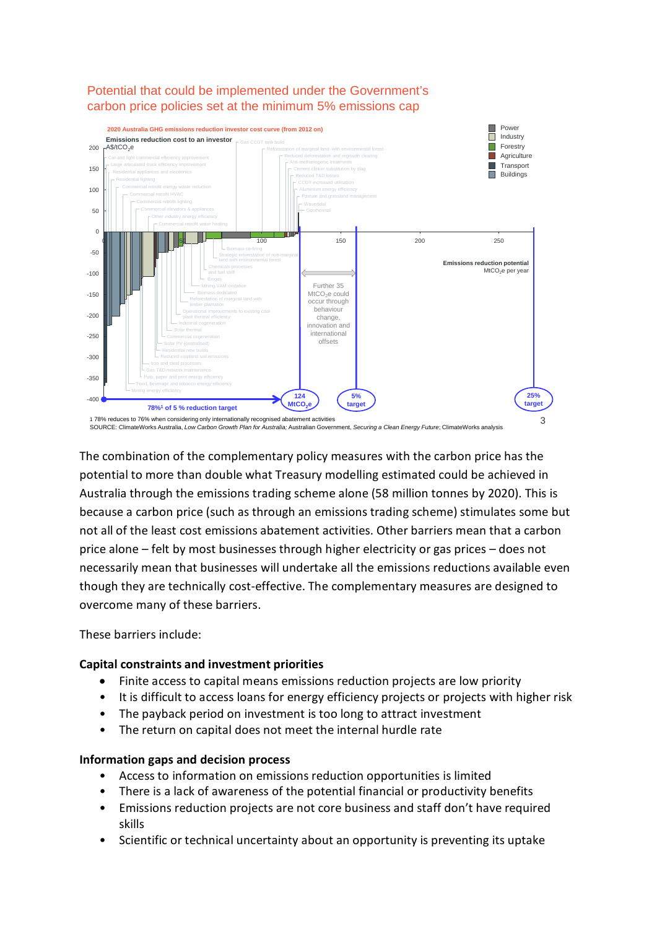

### Potential that could be implemented under the Government's carbon price policies set at the minimum 5% emissions cap

SOURCE: ClimateWorks Australia, *Low Carbon Growth Plan for Australia;* Australian Government, *Securing a Clean Energy Future*; ClimateWorks analysis

The combination of the complementary policy measures with the carbon price has the potential to more than double what Treasury modelling estimated could be achieved in Australia through the emissions trading scheme alone (58 million tonnes by 2020). This is because a carbon price (such as through an emissions trading scheme) stimulates some but not all of the least cost emissions abatement activities. Other barriers mean that a carbon price alone – felt by most businesses through higher electricity or gas prices – does not necessarily mean that businesses will undertake all the emissions reductions available even though they are technically cost-effective. The complementary measures are designed to overcome many of these barriers.

These barriers include:

#### **Capital constraints and investment priorities**

- Finite access to capital means emissions reduction projects are low priority
- It is difficult to access loans for energy efficiency projects or projects with higher risk
- The payback period on investment is too long to attract investment
- The return on capital does not meet the internal hurdle rate

#### **Information gaps and decision process**

- Access to information on emissions reduction opportunities is limited
- There is a lack of awareness of the potential financial or productivity benefits
- Emissions reduction projects are not core business and staff don't have required skills
- Scientific or technical uncertainty about an opportunity is preventing its uptake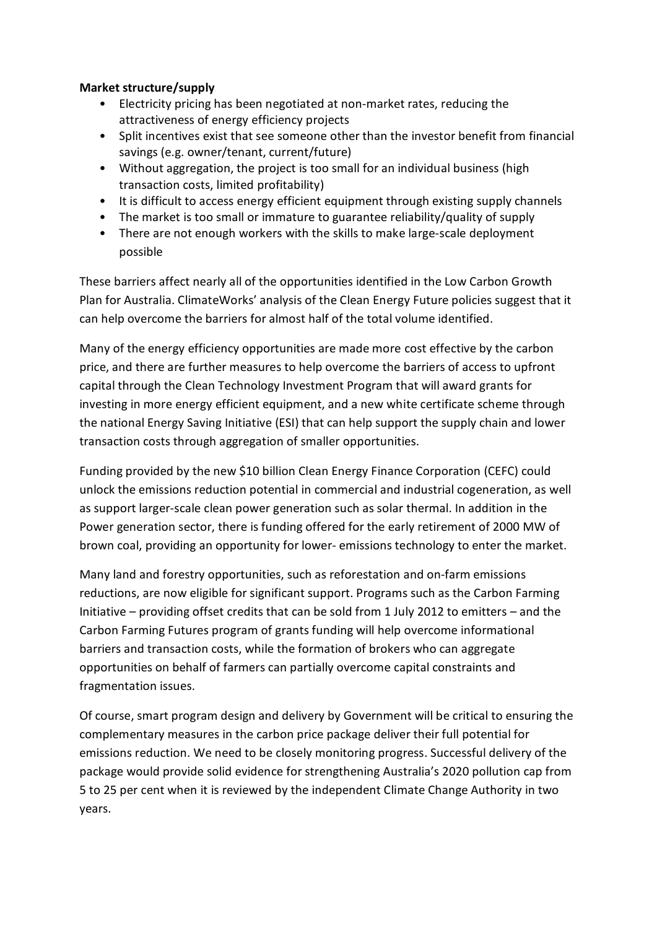### **Market structure/supply**

- Electricity pricing has been negotiated at non-market rates, reducing the attractiveness of energy efficiency projects
- Split incentives exist that see someone other than the investor benefit from financial savings (e.g. owner/tenant, current/future)
- Without aggregation, the project is too small for an individual business (high transaction costs, limited profitability)
- It is difficult to access energy efficient equipment through existing supply channels
- The market is too small or immature to guarantee reliability/quality of supply
- There are not enough workers with the skills to make large-scale deployment possible

These barriers affect nearly all of the opportunities identified in the Low Carbon Growth Plan for Australia. ClimateWorks' analysis of the Clean Energy Future policies suggest that it can help overcome the barriers for almost half of the total volume identified.

Many of the energy efficiency opportunities are made more cost effective by the carbon price, and there are further measures to help overcome the barriers of access to upfront capital through the Clean Technology Investment Program that will award grants for investing in more energy efficient equipment, and a new white certificate scheme through the national Energy Saving Initiative (ESI) that can help support the supply chain and lower transaction costs through aggregation of smaller opportunities.

Funding provided by the new \$10 billion Clean Energy Finance Corporation (CEFC) could unlock the emissions reduction potential in commercial and industrial cogeneration, as well as support larger-scale clean power generation such as solar thermal. In addition in the Power generation sector, there is funding offered for the early retirement of 2000 MW of brown coal, providing an opportunity for lower- emissions technology to enter the market.

Many land and forestry opportunities, such as reforestation and on-farm emissions reductions, are now eligible for significant support. Programs such as the Carbon Farming Initiative – providing offset credits that can be sold from 1 July 2012 to emitters – and the Carbon Farming Futures program of grants funding will help overcome informational barriers and transaction costs, while the formation of brokers who can aggregate opportunities on behalf of farmers can partially overcome capital constraints and fragmentation issues.

Of course, smart program design and delivery by Government will be critical to ensuring the complementary measures in the carbon price package deliver their full potential for emissions reduction. We need to be closely monitoring progress. Successful delivery of the package would provide solid evidence for strengthening Australia's 2020 pollution cap from 5 to 25 per cent when it is reviewed by the independent Climate Change Authority in two years.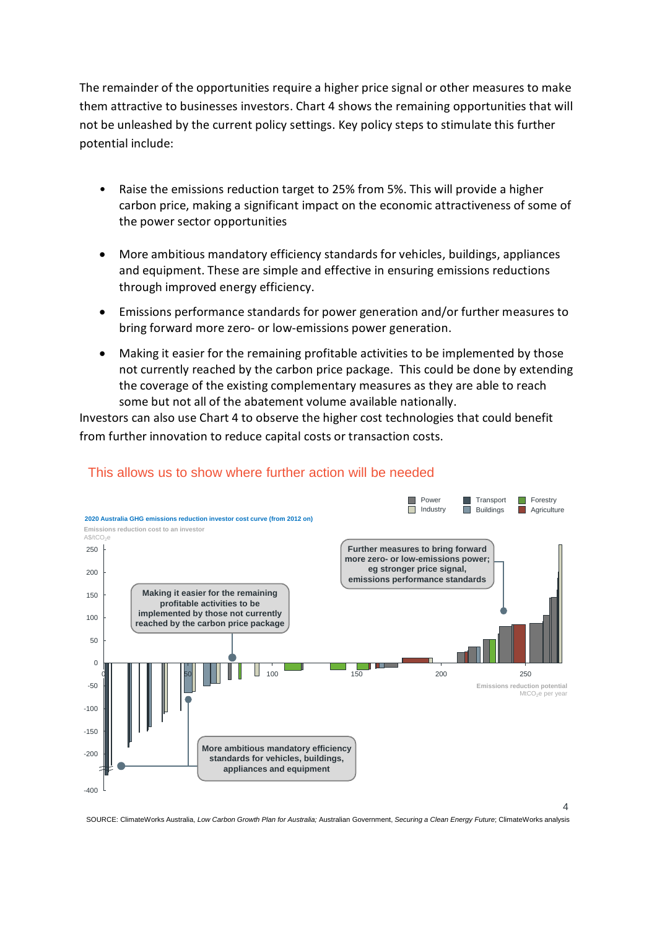The remainder of the opportunities require a higher price signal or other measures to make them attractive to businesses investors. Chart 4 shows the remaining opportunities that will not be unleashed by the current policy settings. Key policy steps to stimulate this further potential include:

- Raise the emissions reduction target to 25% from 5%. This will provide a higher carbon price, making a significant impact on the economic attractiveness of some of the power sector opportunities
- More ambitious mandatory efficiency standards for vehicles, buildings, appliances and equipment. These are simple and effective in ensuring emissions reductions through improved energy efficiency.
- Emissions performance standards for power generation and/or further measures to bring forward more zero- or low-emissions power generation.
- Making it easier for the remaining profitable activities to be implemented by those not currently reached by the carbon price package. This could be done by extending the coverage of the existing complementary measures as they are able to reach some but not all of the abatement volume available nationally.

Investors can also use Chart 4 to observe the higher cost technologies that could benefit from further innovation to reduce capital costs or transaction costs.



## This allows us to show where further action will be needed

SOURCE: ClimateWorks Australia, *Low Carbon Growth Plan for Australia;* Australian Government, *Securing a Clean Energy Future*; ClimateWorks analysis